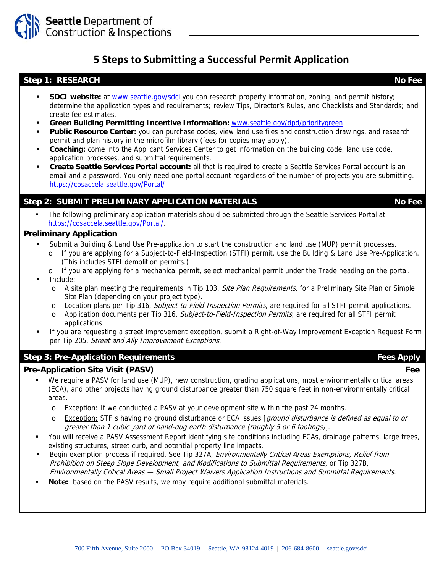

# **5 Steps to Submitting a Successful Permit Application**

#### **Step 1: RESEARCH No Fee**

- **SDCI website:** at www.seattle.gov/sdci you can research property information, zoning, and permit history; determine the application types and requirements; review Tips, Director's Rules, and Checklists and Standards; and create fee estimates.
- **Green Building Permitting Incentive Information:** www.seattle.gov/dpd/prioritygreen
- **Public Resource Center:** you can purchase codes, view land use files and construction drawings, and research permit and plan history in the microfilm library (fees for copies may apply).
- **Coaching:** come into the Applicant Services Center to get information on the building code, land use code, application processes, and submittal requirements.
- **Create Seattle Services Portal account:** all that is required to create a Seattle Services Portal account is an email and a password. You only need one portal account regardless of the number of projects you are submitting. https://cosaccela.seattle.gov/Portal/

## **Step 2: SUBMIT PRELIMINARY APPLICATION MATERIALS No Fee Algebra 2: SUBMIT PRELIMINARY APPLICATION MATERIALS**

 The following preliminary application materials should be submitted through the Seattle Services Portal at https://cosaccela.seattle.gov/Portal/.

#### **Preliminary Application**

- Submit a Building & Land Use Pre-application to start the construction and land use (MUP) permit processes.
	- o If you are applying for a Subject-to-Field-Inspection (STFI) permit, use the Building & Land Use Pre-Application. (This includes STFI demolition permits.)
	- o If you are applying for a mechanical permit, select mechanical permit under the Trade heading on the portal.
- Include:
	- o A site plan meeting the requirements in Tip 103, *Site Plan Requirements*, for a Preliminary Site Plan or Simple Site Plan (depending on your project type).
	- o Location plans per Tip 316, Subject-to-Field-Inspection Permits, are required for all STFI permit applications.
	- o Application documents per Tip 316, Subject-to-Field-Inspection Permits, are required for all STFI permit applications.
- If you are requesting a street improvement exception, submit a Right-of-Way Improvement Exception Request Form per Tip 205, Street and Ally Improvement Exceptions.

### **Step 3: Pre-Application Requirements** *Step 3: Pre-Application Requirements* **Apply**

#### **Pre-Application Site Visit (PASV)** Fee **Fee**

- We require a PASV for land use (MUP), new construction, grading applications, most environmentally critical areas (ECA), and other projects having ground disturbance greater than 750 square feet in non-environmentally critical areas.
	- $\circ$  Exception: If we conducted a PASV at your development site within the past 24 months.
	- Exception: STFIs having no ground disturbance or ECA issues [*ground disturbance is defined as equal to or* greater than 1 cubic yard of hand-dug earth disturbance (roughly 5 or 6 footings)].
- You will receive a PASV Assessment Report identifying site conditions including ECAs, drainage patterns, large trees, existing structures, street curb, and potential property line impacts.
- Begin exemption process if required. See Tip 327A, Environmentally Critical Areas Exemptions. Relief from Prohibition on Steep Slope Development, and Modifications to Submittal Requirements, or Tip 327B, Environmentally Critical Areas — Small Project Waivers Application Instructions and Submittal Requirements.
- **Note:** based on the PASV results, we may require additional submittal materials.